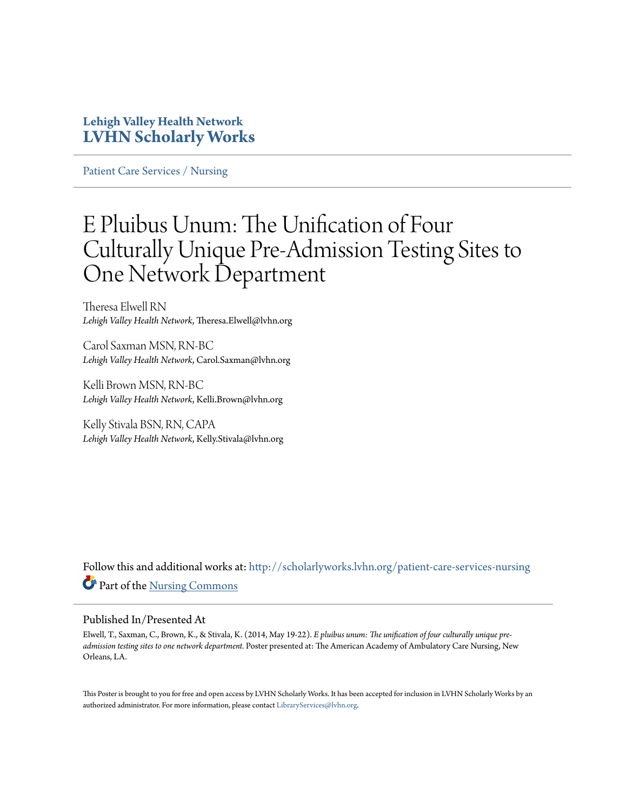## **Lehigh Valley Health Network [LVHN Scholarly Works](http://scholarlyworks.lvhn.org?utm_source=scholarlyworks.lvhn.org%2Fpatient-care-services-nursing%2F317&utm_medium=PDF&utm_campaign=PDFCoverPages)**

[Patient Care Services / Nursing](http://scholarlyworks.lvhn.org/patient-care-services-nursing?utm_source=scholarlyworks.lvhn.org%2Fpatient-care-services-nursing%2F317&utm_medium=PDF&utm_campaign=PDFCoverPages)

## E Pluibus Unum: The Unification of Four Culturally Unique Pre-Admission Testing Sites to One Network Department

Theresa Elwell RN *Lehigh Valley Health Network*, Theresa.Elwell@lvhn.org

Carol Saxman MSN, RN-BC *Lehigh Valley Health Network*, Carol.Saxman@lvhn.org

Kelli Brown MSN, RN-BC *Lehigh Valley Health Network*, Kelli.Brown@lvhn.org

Kelly Stivala BSN, RN, CAPA *Lehigh Valley Health Network*, Kelly.Stivala@lvhn.org

Follow this and additional works at: [http://scholarlyworks.lvhn.org/patient-care-services-nursing](http://scholarlyworks.lvhn.org/patient-care-services-nursing?utm_source=scholarlyworks.lvhn.org%2Fpatient-care-services-nursing%2F317&utm_medium=PDF&utm_campaign=PDFCoverPages) Part of the [Nursing Commons](http://network.bepress.com/hgg/discipline/718?utm_source=scholarlyworks.lvhn.org%2Fpatient-care-services-nursing%2F317&utm_medium=PDF&utm_campaign=PDFCoverPages)

### Published In/Presented At

Elwell, T., Saxman, C., Brown, K., & Stivala, K. (2014, May 19-22). *E pluibus unum: The unification of four culturally unique preadmission testing sites to one network department.* Poster presented at: The American Academy of Ambulatory Care Nursing, New Orleans, LA.

This Poster is brought to you for free and open access by LVHN Scholarly Works. It has been accepted for inclusion in LVHN Scholarly Works by an authorized administrator. For more information, please contact [LibraryServices@lvhn.org.](mailto:LibraryServices@lvhn.org)